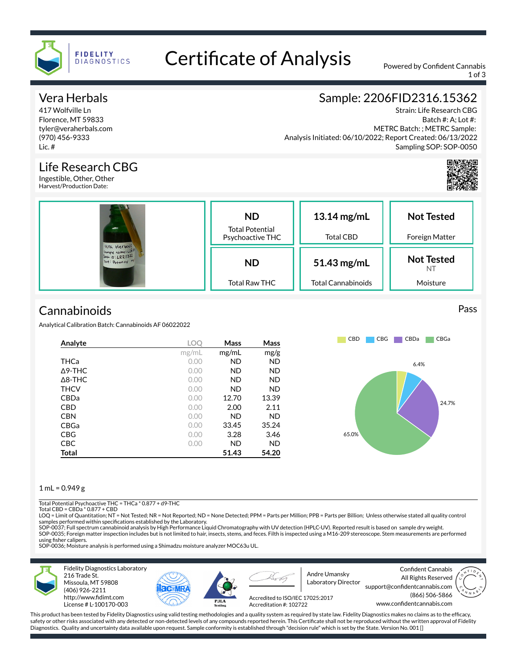

# Certificate of Analysis Powered by Confident Cannabis

1 of 3

Strain: Life Research CBG Batch #: A; Lot #:

Sampling SOP: SOP-0050

METRC Batch: ; METRC Sample:

Sample: 2206FID2316.15362

Analysis Initiated: 06/10/2022; Report Created: 06/13/2022

## Vera Herbals

417 Wolfville Ln Florence, MT 59833 tyler@veraherbals.com (970) 456-9333 Lic. #

### Life Research CBG

Ingestible, Other, Other Harvest/Production Date:

| Vera Herbals<br>Sumple name: Life<br>Sula 10: LRR1322<br>Text: Potency M | <b>ND</b><br><b>Total Potential</b><br>Psychoactive THC | 13.14 mg/mL<br><b>Total CBD</b>          | <b>Not Tested</b><br>Foreign Matter |  |
|--------------------------------------------------------------------------|---------------------------------------------------------|------------------------------------------|-------------------------------------|--|
|                                                                          | <b>ND</b><br><b>Total Raw THC</b>                       | 51.43 mg/mL<br><b>Total Cannabinoids</b> | <b>Not Tested</b><br>NT<br>Moisture |  |

# **Cannabinoids**

Analytical Calibration Batch: Cannabinoids AF 06022022

| Analyte           | LOC   | Mass      | Mass      |
|-------------------|-------|-----------|-----------|
|                   | mg/mL | mg/mL     | mg/g      |
| THCa              | 0.00  | <b>ND</b> | <b>ND</b> |
| $\triangle$ 9-THC | 0.00  | ND.       | <b>ND</b> |
| $\triangle$ 8-THC | 0.00  | <b>ND</b> | <b>ND</b> |
| <b>THCV</b>       | 0.00  | <b>ND</b> | <b>ND</b> |
| <b>CBDa</b>       | 0.00  | 12.70     | 13.39     |
| <b>CBD</b>        | 0.00  | 2.00      | 2.11      |
| <b>CBN</b>        | 0.00  | <b>ND</b> | <b>ND</b> |
| CBGa              | 0.00  | 33.45     | 35.24     |
| <b>CBG</b>        | 0.00  | 3.28      | 3.46      |
| <b>CBC</b>        | 0.00  | <b>ND</b> | <b>ND</b> |
| Total             |       | 51.43     | 54.20     |

#### $1$  mL = 0.949 g

Total Potential Psychoactive THC = THCa \* 0.877 + d9-THC

Total CBD =  $CRDa * 0.877 + CRD$ 

LOQ = Limit of Quantitation; NT = Not Tested; NR = Not Reported; ND = None Detected; PPM = Parts per Million; PPB = Parts per Billion; Unless otherwise stated all quality control samples performed within specifications established by the Laboratory.<br>SOP-0037; Full spectrum cannabinoid analysis by High Performance Liquid Chromatography with UV detection (HPLC-UV). Reported result is based on sample

SOP-0035; Foreign matter inspection includes but is not limited to hair, insects, stems, and feces. Filth is inspected using a M16-209 stereoscope. Stem measurements are performed using fisher calipers.

SOP-0036; Moisture analysis is performed using a Shimadzu moisture analyzer MOC63u UL.



216 Trade St. Missoula, MT 59808 (406) 926-2211 http://www.fidimt.com License # L-100170-003





Accreditation #: 102722

Andre Umansky Laboratory Director

Confident Cannabis All Rights Reserved support@confidentcannabis.com (866) 506-5866



www.confidentcannabis.com Accredited to ISO/IEC 17025:2017

This product has been tested by Fidelity Diagnostics using valid testing methodologies and a quality system as required by state law. Fidelity Diagnostics makes no claims as to the efficacy, safety or other risks associated with any detected or non-detected levels of any compounds reported herein. This Certificate shall not be reproduced without the written approval of Fidelity Diagnostics. Quality and uncertainty data available upon request. Sample conformity is established through "decision rule" which is set by the State. Version No. 001 []

#### Pass

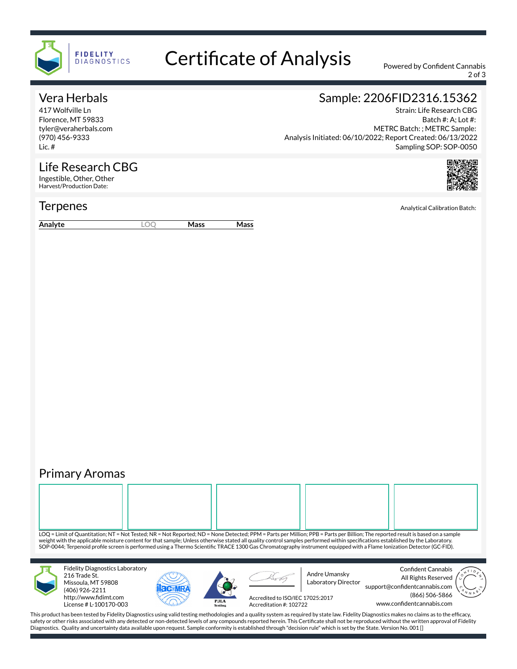

# Certificate of Analysis Powered by Confident Cannabis

2 of 3

## Vera Herbals

417 Wolfville Ln Florence, MT 59833 tyler@veraherbals.com (970) 456-9333 Lic. #

## Sample: 2206FID2316.15362

Strain: Life Research CBG Batch #: A; Lot #: Analysis Initiated: 06/10/2022; Report Created: 06/13/2022 METRC Batch: ; METRC Sample: Sampling SOP: SOP-0050



Life Research CBG Ingestible, Other, Other Harvest/Production Date:

**Analyte LOQ Mass Mass**

# Primary Aromas

LOQ = Limit of Quantitation; NT = Not Tested; NR = Not Reported; ND = None Detected; PPM = Parts per Million; PPB = Parts per Billion; The reported result is based on a sample weight with the applicable moisture content for that sample; Unless otherwise stated all quality control samples performed within specifications established by the Laboratory SOP-0044; Terpenoid profile screen is performed using a Thermo Scientific TRACE 1300 Gas Chromatography instrument equipped with a Flame Ionization Detector (GC-FID). Fidelity Diagnostics Laboratory Confident Cannabis 216 Trade St. Andre Umansky All Rights Reserved Laboratory Director Missoula, MT 59808 support@confidentcannabis.com (406) 926-2211 (866) 506-5866 http://www.fidimt.com Accredited to ISO/IEC 17025:2017  $PJL/$ www.confidentcannabis.com License # L-100170-003 Accreditation #: 102722

This product has been tested by Fidelity Diagnostics using valid testing methodologies and a quality system as required by state law. Fidelity Diagnostics makes no claims as to the efficacy, safety or other risks associated with any detected or non-detected levels of any compounds reported herein. This Certificate shall not be reproduced without the written approval of Fidelity Diagnostics. Quality and uncertainty data available upon request. Sample conformity is established through "decision rule" which is set by the State. Version No. 001 []

**Terpenes** Analytical Calibration Batch: